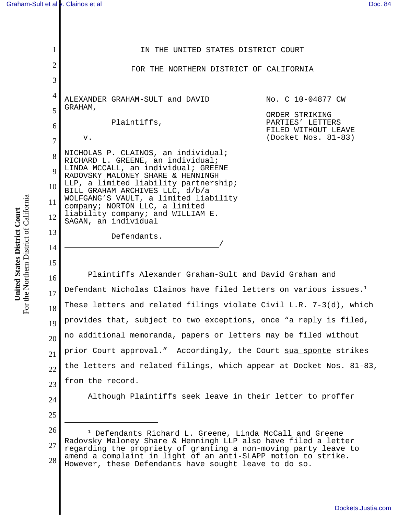1 2 3 4 5 6 7 8 9 10 11 12 13 14 15 16 17 18 19 20 21 22 23 24 25 26 27 28 1 Defendants Richard L. Greene, Linda McCall and Greene Radovsky Maloney Share & Henningh LLP also have filed a letter regarding the propriety of granting a non-moving party leave to amend a complaint in light of an anti-SLAPP motion to strike. However, these Defendants have sought leave to do so. IN THE UNITED STATES DISTRICT COURT FOR THE NORTHERN DISTRICT OF CALIFORNIA ALEXANDER GRAHAM-SULT and DAVID GRAHAM, Plaintiffs, v. NICHOLAS P. CLAINOS, an individual; RICHARD L. GREENE, an individual; LINDA MCCALL, an individual; GREENE RADOVSKY MALONEY SHARE & HENNINGH LLP, a limited liability partnership; BILL GRAHAM ARCHIVES LLC, d/b/a WOLFGANG'S VAULT, a limited liability company; NORTON LLC, a limited liability company; and WILLIAM E. SAGAN, an individual Defendants. No. C 10-04877 CW ORDER STRIKING PARTIES' LETTERS FILED WITHOUT LEAVE (Docket Nos. 81-83) Plaintiffs Alexander Graham-Sult and David Graham and Defendant Nicholas Clainos have filed letters on various issues. $1$ These letters and related filings violate Civil L.R. 7-3(d), which provides that, subject to two exceptions, once "a reply is filed, no additional memoranda, papers or letters may be filed without prior Court approval." Accordingly, the Court sua sponte strikes the letters and related filings, which appear at Docket Nos. 81-83, from the record. Although Plaintiffs seek leave in their letter to proffer

For the Northern District of California For the Northern District of California United States District Court **United States District Court**